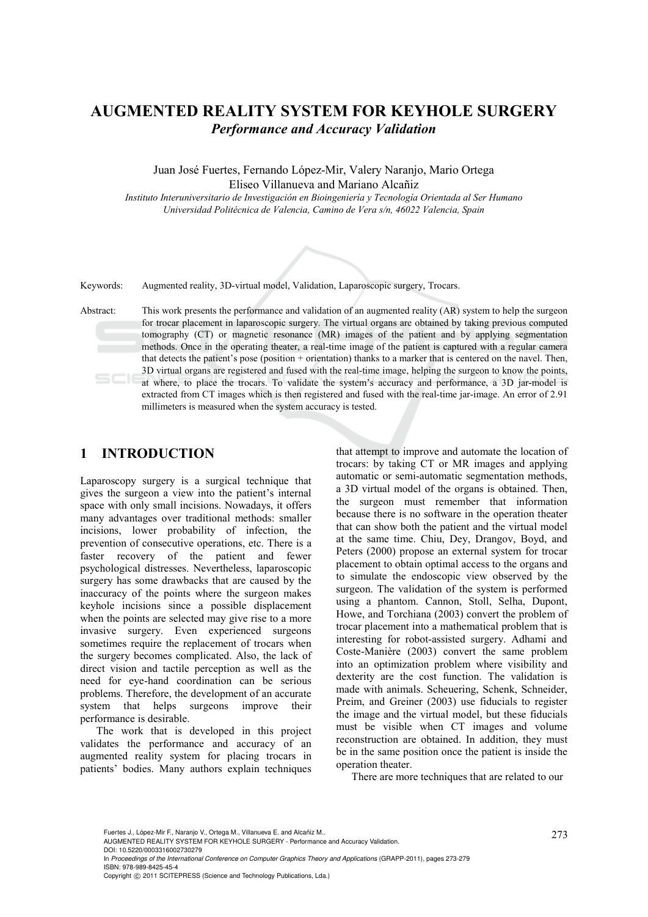# **AUGMENTED REALITY SYSTEM FOR KEYHOLE SURGERY**  *Performance and Accuracy Validation*

Juan José Fuertes, Fernando López-Mir, Valery Naranjo, Mario Ortega Eliseo Villanueva and Mariano Alcañiz

*Instituto Interuniversitario de Investigación en Bioingeniería y Tecnología Orientada al Ser Humano Universidad Politécnica de Valencia, Camino de Vera s/n, 46022 Valencia, Spain* 



Keywords: Augmented reality, 3D-virtual model, Validation, Laparoscopic surgery, Trocars.

Abstract: This work presents the performance and validation of an augmented reality (AR) system to help the surgeon for trocar placement in laparoscopic surgery. The virtual organs are obtained by taking previous computed tomography (CT) or magnetic resonance (MR) images of the patient and by applying segmentation methods. Once in the operating theater, a real-time image of the patient is captured with a regular camera that detects the patient's pose (position + orientation) thanks to a marker that is centered on the navel. Then, 3D virtual organs are registered and fused with the real-time image, helping the surgeon to know the points, at where, to place the trocars. To validate the system's accuracy and performance, a 3D jar-model is extracted from CT images which is then registered and fused with the real-time jar-image. An error of 2.91 millimeters is measured when the system accuracy is tested.

### **1 INTRODUCTION**

Laparoscopy surgery is a surgical technique that gives the surgeon a view into the patient's internal space with only small incisions. Nowadays, it offers many advantages over traditional methods: smaller incisions, lower probability of infection, the prevention of consecutive operations, etc. There is a faster recovery of the patient and fewer psychological distresses. Nevertheless, laparoscopic surgery has some drawbacks that are caused by the inaccuracy of the points where the surgeon makes keyhole incisions since a possible displacement when the points are selected may give rise to a more invasive surgery. Even experienced surgeons sometimes require the replacement of trocars when the surgery becomes complicated. Also, the lack of direct vision and tactile perception as well as the need for eye-hand coordination can be serious problems. Therefore, the development of an accurate system that helps surgeons improve their performance is desirable.

The work that is developed in this project validates the performance and accuracy of an augmented reality system for placing trocars in patients' bodies. Many authors explain techniques

that attempt to improve and automate the location of trocars: by taking CT or MR images and applying automatic or semi-automatic segmentation methods, a 3D virtual model of the organs is obtained. Then, the surgeon must remember that information because there is no software in the operation theater that can show both the patient and the virtual model at the same time. Chiu, Dey, Drangov, Boyd, and Peters (2000) propose an external system for trocar placement to obtain optimal access to the organs and to simulate the endoscopic view observed by the surgeon. The validation of the system is performed using a phantom. Cannon, Stoll, Selha, Dupont, Howe, and Torchiana (2003) convert the problem of trocar placement into a mathematical problem that is interesting for robot-assisted surgery. Adhami and Coste-Manière (2003) convert the same problem into an optimization problem where visibility and dexterity are the cost function. The validation is made with animals. Scheuering, Schenk, Schneider, Preim, and Greiner (2003) use fiducials to register the image and the virtual model, but these fiducials must be visible when CT images and volume reconstruction are obtained. In addition, they must be in the same position once the patient is inside the operation theater.

There are more techniques that are related to our

Fuertes J., López-Mir F., Naranjo V., Ortega M., Villanueva E. and Alcañiz M..<br>AUGMENTED REALITY SYSTEM FOR KEYHOLE SURGERY - Performance and Accuracy Validation. DOI: 10.5220/0003316002730279 In *Proceedings of the International Conference on Computer Graphics Theory and Applications* (GRAPP-2011), pages 273-279 ISBN: 978-989-8425-45-4 Copyright © 2011 SCITEPRESS (Science and Technology Publications, Lda.)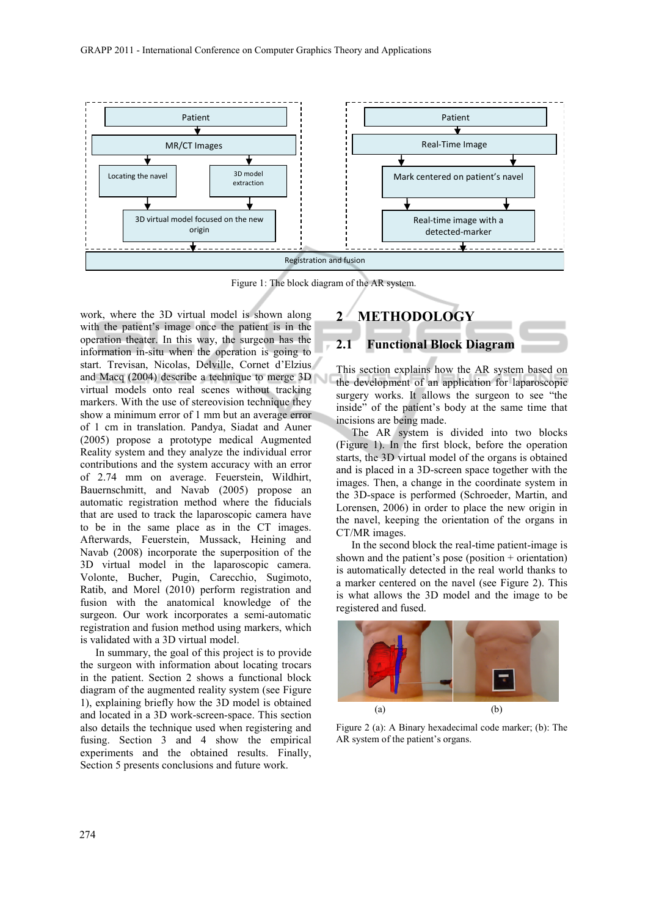

Figure 1: The block diagram of the AR system.

work, where the 3D virtual model is shown along with the patient's image once the patient is in the operation theater. In this way, the surgeon has the information in-situ when the operation is going to start. Trevisan, Nicolas, Delville, Cornet d'Elzius and Macq (2004) describe a technique to merge 3D virtual models onto real scenes without tracking markers. With the use of stereovision technique they show a minimum error of 1 mm but an average error of 1 cm in translation. Pandya, Siadat and Auner (2005) propose a prototype medical Augmented Reality system and they analyze the individual error contributions and the system accuracy with an error of 2.74 mm on average. Feuerstein, Wildhirt, Bauernschmitt, and Navab (2005) propose an automatic registration method where the fiducials that are used to track the laparoscopic camera have to be in the same place as in the CT images. Afterwards, Feuerstein, Mussack, Heining and Navab (2008) incorporate the superposition of the 3D virtual model in the laparoscopic camera. Volonte, Bucher, Pugin, Carecchio, Sugimoto, Ratib, and Morel (2010) perform registration and fusion with the anatomical knowledge of the surgeon. Our work incorporates a semi-automatic registration and fusion method using markers, which is validated with a 3D virtual model.

In summary, the goal of this project is to provide the surgeon with information about locating trocars in the patient. Section 2 shows a functional block diagram of the augmented reality system (see Figure 1), explaining briefly how the 3D model is obtained and located in a 3D work-screen-space. This section also details the technique used when registering and fusing. Section 3 and 4 show the empirical experiments and the obtained results. Finally, Section 5 presents conclusions and future work.

# **2 METHODOLOGY**

#### **2.1 Functional Block Diagram**

This section explains how the AR system based on the development of an application for laparoscopic surgery works. It allows the surgeon to see "the inside" of the patient's body at the same time that incisions are being made.

The AR system is divided into two blocks (Figure 1). In the first block, before the operation starts, the 3D virtual model of the organs is obtained and is placed in a 3D-screen space together with the images. Then, a change in the coordinate system in the 3D-space is performed (Schroeder, Martin, and Lorensen, 2006) in order to place the new origin in the navel, keeping the orientation of the organs in CT/MR images.

In the second block the real-time patient-image is shown and the patient's pose (position + orientation) is automatically detected in the real world thanks to a marker centered on the navel (see Figure 2). This is what allows the 3D model and the image to be registered and fused.



Figure 2 (a): A Binary hexadecimal code marker; (b): The AR system of the patient's organs.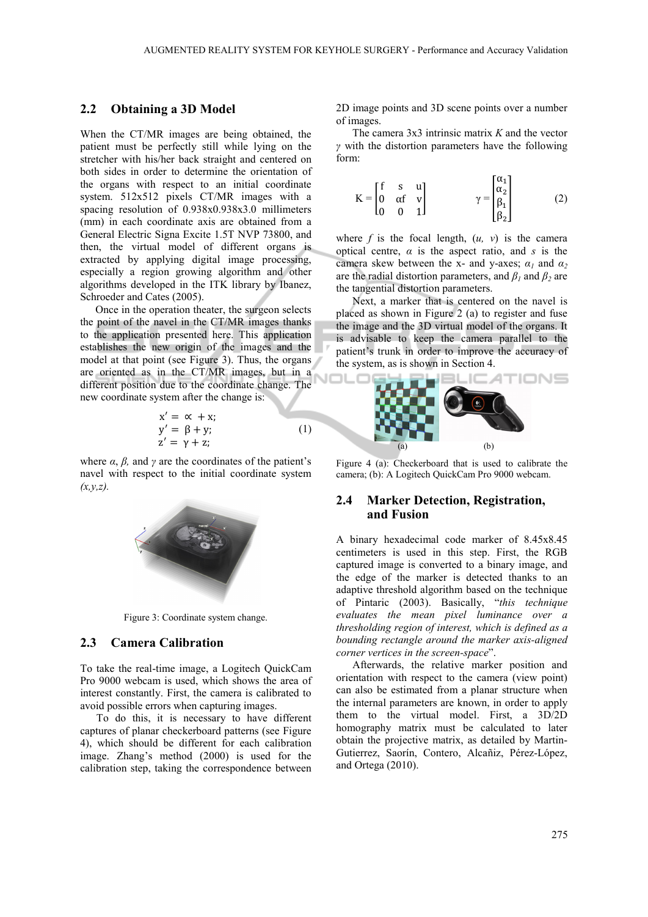#### **2.2 Obtaining a 3D Model**

When the CT/MR images are being obtained, the patient must be perfectly still while lying on the stretcher with his/her back straight and centered on both sides in order to determine the orientation of the organs with respect to an initial coordinate system. 512x512 pixels CT/MR images with a spacing resolution of 0.938x0.938x3.0 millimeters (mm) in each coordinate axis are obtained from a General Electric Signa Excite 1.5T NVP 73800, and then, the virtual model of different organs is extracted by applying digital image processing, especially a region growing algorithm and other algorithms developed in the ITK library by Ibanez, Schroeder and Cates (2005).

Once in the operation theater, the surgeon selects the point of the navel in the CT/MR images thanks to the application presented here. This application establishes the new origin of the images and the model at that point (see Figure 3). Thus, the organs are oriented as in the CT/MR images, but in a different position due to the coordinate change. The new coordinate system after the change is:

$$
x' = \alpha + x;\n y' = \beta + y;\n z' = \gamma + z;
$$
\n(1)

where  $\alpha$ ,  $\beta$ , and  $\gamma$  are the coordinates of the patient's navel with respect to the initial coordinate system *(x,y,z).*



Figure 3: Coordinate system change.

#### **2.3 Camera Calibration**

To take the real-time image, a Logitech QuickCam Pro 9000 webcam is used, which shows the area of interest constantly. First, the camera is calibrated to avoid possible errors when capturing images.

To do this, it is necessary to have different captures of planar checkerboard patterns (see Figure 4), which should be different for each calibration image. Zhang's method (2000) is used for the calibration step, taking the correspondence between 2D image points and 3D scene points over a number of images.

The camera 3x3 intrinsic matrix *K* and the vector *γ* with the distortion parameters have the following form:

$$
K = \begin{bmatrix} f & s & u \\ 0 & \alpha f & v \\ 0 & 0 & 1 \end{bmatrix} \qquad \gamma = \begin{bmatrix} \alpha_1 \\ \alpha_2 \\ \beta_1 \\ \beta_2 \end{bmatrix} \qquad (2)
$$

where  $f$  is the focal length,  $(u, v)$  is the camera optical centre, *α* is the aspect ratio, and *s* is the camera skew between the x- and y-axes;  $\alpha_1$  and  $\alpha_2$ are the radial distortion parameters, and  $\beta_1$  and  $\beta_2$  are the tangential distortion parameters.

Next, a marker that is centered on the navel is placed as shown in Figure 2 (a) to register and fuse the image and the 3D virtual model of the organs. It is advisable to keep the camera parallel to the patient's trunk in order to improve the accuracy of the system, as is shown in Section 4.



Figure 4 (a): Checkerboard that is used to calibrate the camera; (b): A Logitech QuickCam Pro 9000 webcam.

#### **2.4 Marker Detection, Registration, and Fusion**

A binary hexadecimal code marker of 8.45x8.45 centimeters is used in this step. First, the RGB captured image is converted to a binary image, and the edge of the marker is detected thanks to an adaptive threshold algorithm based on the technique of Pintaric (2003). Basically, "*this technique evaluates the mean pixel luminance over a thresholding region of interest, which is defined as a bounding rectangle around the marker axis-aligned corner vertices in the screen-space*".

Afterwards, the relative marker position and orientation with respect to the camera (view point) can also be estimated from a planar structure when the internal parameters are known, in order to apply them to the virtual model. First, a 3D/2D homography matrix must be calculated to later obtain the projective matrix, as detailed by Martin-Gutierrez, Saorín, Contero, Alcañiz, Pérez-López, and Ortega (2010).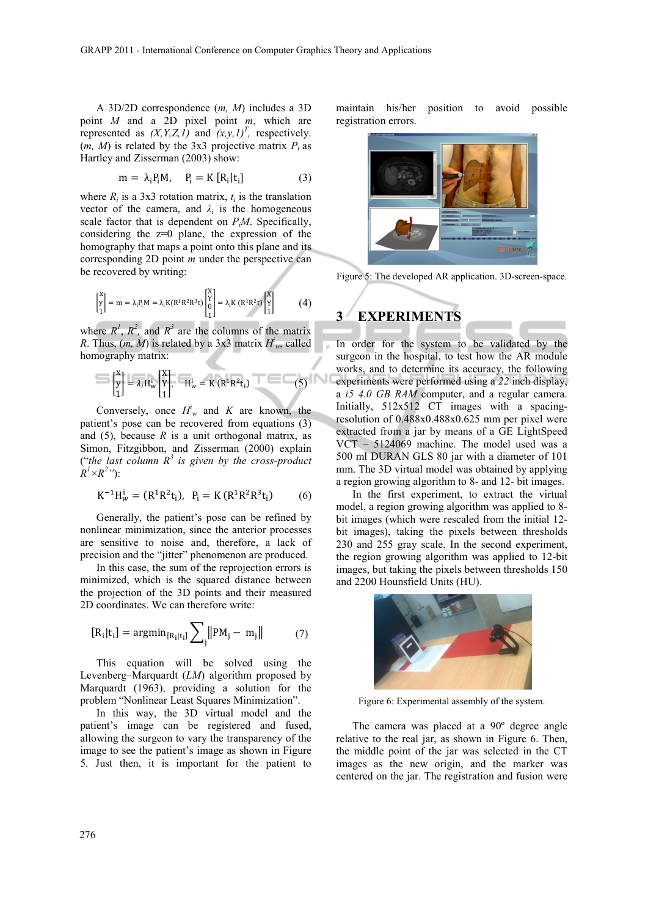A 3D/2D correspondence (*m, M*) includes a 3D point *M* and a 2D pixel point *m*, which are represented as  $(X, Y, Z, I)$  and  $(x, y, I)^T$ , respectively.  $(m, M)$  is related by the 3x3 projective matrix  $P_i$  as Hartley and Zisserman (2003) show:

$$
m = \lambda_i P_i M, \quad P_i = K [R_i | t_i]
$$
 (3)

where  $R_i$  is a 3x3 rotation matrix,  $t_i$  is the translation vector of the camera, and  $\lambda_i$  is the homogeneous scale factor that is dependent on *PiM*. Specifically, considering the  $z=0$  plane, the expression of the homography that maps a point onto this plane and its corresponding 2D point *m* under the perspective can be recovered by writing:

$$
\begin{bmatrix} x \\ y \\ 1 \end{bmatrix} = m = \lambda_i P_i M = \lambda_i K (R^1 R^2 R^3 t) \begin{bmatrix} X \\ Y \\ 0 \\ 1 \end{bmatrix} = \lambda_i K (R^1 R^2 t) \begin{bmatrix} X \\ Y \\ 1 \end{bmatrix}
$$
 (4)

where  $R^1$ ,  $R^2$ , and  $R^3$  are the columns of the matrix *R*. Thus,  $(m, M)$  is related by a 3x3 matrix  $H<sup>i</sup><sub>w</sub>$ , called homography matrix:

$$
\begin{bmatrix} \mathbf{x} \\ \mathbf{y} \\ 1 \end{bmatrix} = \lambda_i \mathbf{H}_{\mathbf{w}}^{\mathbf{i}} \begin{bmatrix} \mathbf{X} \\ \mathbf{Y} \\ 1 \end{bmatrix}, \quad \mathbf{H}_{\mathbf{w}}^{\mathbf{i}} = \mathbf{K} \left( \mathbf{R}^{\mathbf{i}} \mathbf{R}^{\mathbf{2}} \mathbf{t}_i \right) \tag{5}
$$

Conversely, once  $H_w^i$  and *K* are known, the patient's pose can be recovered from equations (3) and  $(5)$ , because  $R$  is a unit orthogonal matrix, as Simon, Fitzgibbon, and Zisserman (2000) explain ("the last column  $R^3$  is given by the cross-product  $R^1 \times R^2$ "):

$$
K^{-1}H_w^i = (R^1R^2t_i), \ P_i = K(R^1R^2R^3t_i)
$$
 (6)

Generally, the patient's pose can be refined by nonlinear minimization, since the anterior processes are sensitive to noise and, therefore, a lack of precision and the "jitter" phenomenon are produced.

In this case, the sum of the reprojection errors is minimized, which is the squared distance between the projection of the 3D points and their measured 2D coordinates. We can therefore write:

$$
[R_i|t_i] = \operatorname{argmin}_{[R_i|t_i]} \sum_{j} ||PM_j - m_j|| \tag{7}
$$

This equation will be solved using the Levenberg–Marquardt (*LM*) algorithm proposed by Marquardt (1963), providing a solution for the problem "Nonlinear Least Squares Minimization".

In this way, the 3D virtual model and the patient's image can be registered and fused, allowing the surgeon to vary the transparency of the image to see the patient's image as shown in Figure 5. Just then, it is important for the patient to

maintain his/her position to avoid possible registration errors.



Figure 5: The developed AR application. 3D-screen-space.

## **3 EXPERIMENTS**

In order for the system to be validated by the surgeon in the hospital, to test how the AR module works, and to determine its accuracy, the following experiments were performed using a *22* inch display, a *i5 4.0 GB RAM* computer, and a regular camera. Initially, 512x512 CT images with a spacingresolution of 0.488x0.488x0.625 mm per pixel were extracted from a jar by means of a GE LightSpeed VCT – 5124069 machine. The model used was a 500 ml DURAN GLS 80 jar with a diameter of 101 mm. The 3D virtual model was obtained by applying a region growing algorithm to 8- and 12- bit images.

In the first experiment, to extract the virtual model, a region growing algorithm was applied to 8 bit images (which were rescaled from the initial 12 bit images), taking the pixels between thresholds 230 and 255 gray scale. In the second experiment, the region growing algorithm was applied to 12-bit images, but taking the pixels between thresholds 150 and 2200 Hounsfield Units (HU).



Figure 6: Experimental assembly of the system.

The camera was placed at a 90º degree angle relative to the real jar, as shown in Figure 6. Then, the middle point of the jar was selected in the CT images as the new origin, and the marker was centered on the jar. The registration and fusion were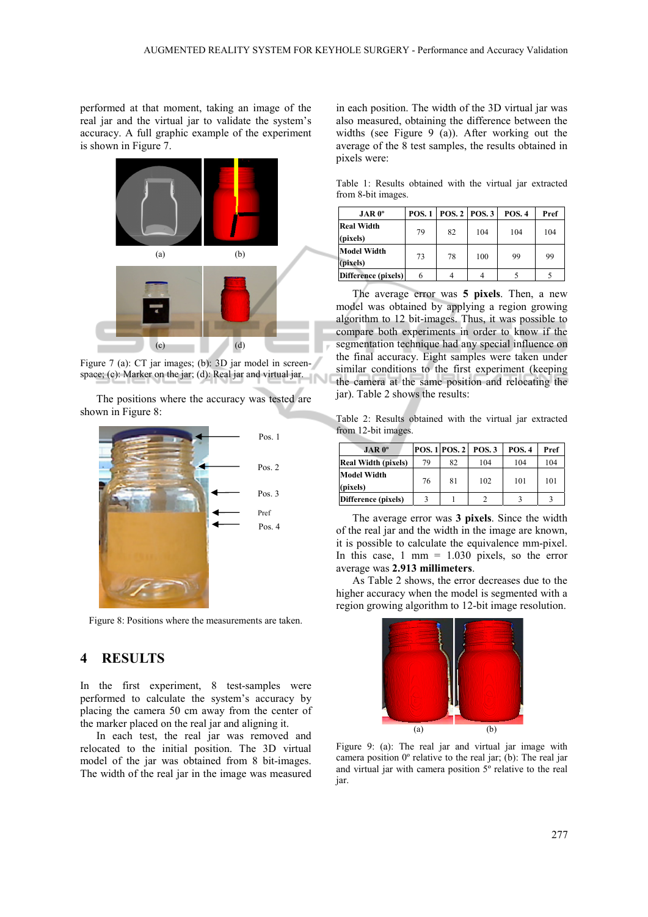performed at that moment, taking an image of the real jar and the virtual jar to validate the system's accuracy. A full graphic example of the experiment is shown in Figure 7.



Figure 7 (a): CT jar images; (b): 3D jar model in screenspace; (c): Marker on the jar; (d): Real jar and virtual jar.

The positions where the accuracy was tested are shown in Figure 8:



Figure 8: Positions where the measurements are taken.

#### **4 RESULTS**

In the first experiment, 8 test-samples were performed to calculate the system's accuracy by placing the camera 50 cm away from the center of the marker placed on the real jar and aligning it.

In each test, the real jar was removed and relocated to the initial position. The 3D virtual model of the jar was obtained from 8 bit-images. The width of the real jar in the image was measured

in each position. The width of the 3D virtual jar was also measured, obtaining the difference between the widths (see Figure 9 (a)). After working out the average of the 8 test samples, the results obtained in pixels were:

Table 1: Results obtained with the virtual jar extracted from 8-bit images.

|                                | $JAR 0^{\circ}$ |    | <b>POS. 1   POS. 2   POS. 3</b> |     | <b>POS. 4</b> | Pref |
|--------------------------------|-----------------|----|---------------------------------|-----|---------------|------|
| <b>Real Width</b><br>(pixels)  |                 | 79 | 82                              | 104 | 104           | 104  |
| <b>Model Width</b><br>(pixels) |                 | 73 | 78                              | 100 | 99            | 99   |
| Difference (pixels)            |                 | 6  |                                 |     |               |      |

The average error was **5 pixels**. Then, a new model was obtained by applying a region growing algorithm to 12 bit-images. Thus, it was possible to compare both experiments in order to know if the segmentation technique had any special influence on the final accuracy. Eight samples were taken under similar conditions to the first experiment (keeping the camera at the same position and relocating the jar). Table 2 shows the results:

Table 2: Results obtained with the virtual jar extracted from 12-bit images.

| $JAR 0^\circ$                  |    | <b>POS. 1 POS. 2</b> | <b>POS.3</b> | <b>POS. 4</b> | Pref |
|--------------------------------|----|----------------------|--------------|---------------|------|
| <b>Real Width (pixels)</b>     | 79 | 82                   | 104          | 104           | 104  |
| <b>Model Width</b><br>(pixels) | 76 | 81                   | 102          | 101           | 101  |
| Difference (pixels)            |    |                      |              |               |      |

The average error was **3 pixels**. Since the width of the real jar and the width in the image are known, it is possible to calculate the equivalence mm-pixel. In this case,  $1 \text{ mm} = 1.030 \text{ pixels}$ , so the error average was **2.913 millimeters**.

As Table 2 shows, the error decreases due to the higher accuracy when the model is segmented with a region growing algorithm to 12-bit image resolution.



Figure 9: (a): The real jar and virtual jar image with camera position 0º relative to the real jar; (b): The real jar and virtual jar with camera position 5º relative to the real jar.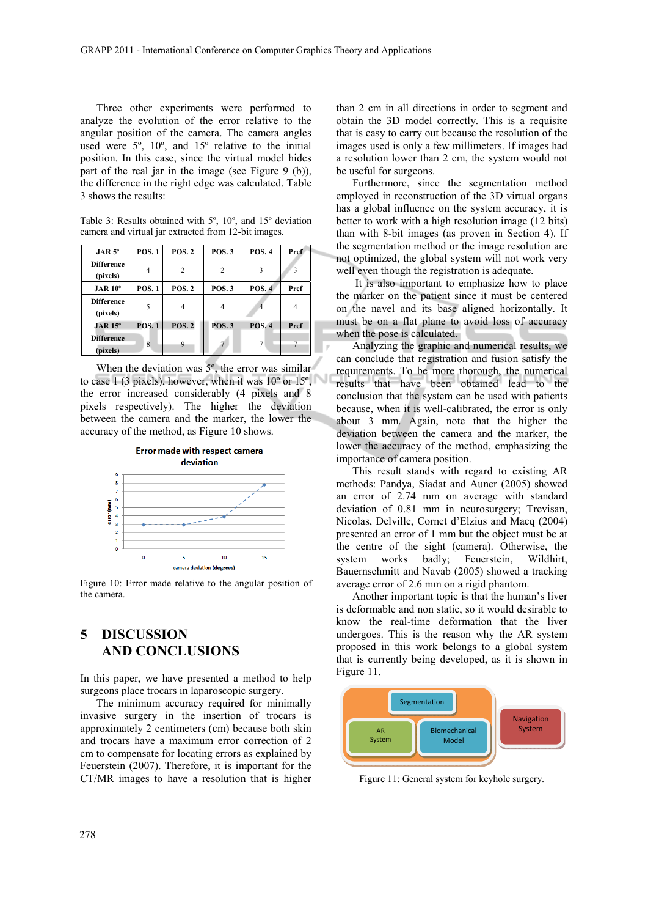Three other experiments were performed to analyze the evolution of the error relative to the angular position of the camera. The camera angles used were 5º, 10º, and 15º relative to the initial position. In this case, since the virtual model hides part of the real jar in the image (see Figure  $9$  (b)), the difference in the right edge was calculated. Table 3 shows the results:

Table 3: Results obtained with 5º, 10º, and 15º deviation camera and virtual jar extracted from 12-bit images.

| $JAR 5^\circ$     | <b>POS.1</b> | <b>POS. 2</b>  | <b>POS.3</b>   | <b>POS. 4</b> | Pref           |
|-------------------|--------------|----------------|----------------|---------------|----------------|
| <b>Difference</b> | 4            | $\overline{c}$ | $\overline{c}$ | 3             | 3              |
| (pixels)          |              |                |                |               |                |
| $JAR 10^\circ$    | <b>POS.1</b> | <b>POS. 2</b>  | <b>POS.3</b>   | <b>POS.4</b>  | Pref           |
| <b>Difference</b> | 5            |                |                |               |                |
| (pixels)          |              | 4              |                |               | $\overline{4}$ |
| $JAR 15^\circ$    | <b>POS.1</b> | <b>POS. 2</b>  | <b>POS.3</b>   | <b>POS. 4</b> | Pref           |
| <b>Difference</b> | 8            | 9              |                |               | 7              |
| (pixels)          |              |                |                |               |                |

When the deviation was  $5^\circ$ , the error was similar to case  $1$  (3 pixels), however, when it was  $10^{\circ}$  or  $15^{\circ}$ , the error increased considerably (4 pixels and 8 pixels respectively). The higher the deviation between the camera and the marker, the lower the accuracy of the method, as Figure 10 shows.



Figure 10: Error made relative to the angular position of the camera.

## **5 DISCUSSION AND CONCLUSIONS**

In this paper, we have presented a method to help surgeons place trocars in laparoscopic surgery.

The minimum accuracy required for minimally invasive surgery in the insertion of trocars is approximately 2 centimeters (cm) because both skin and trocars have a maximum error correction of 2 cm to compensate for locating errors as explained by Feuerstein (2007). Therefore, it is important for the CT/MR images to have a resolution that is higher

than 2 cm in all directions in order to segment and obtain the 3D model correctly. This is a requisite that is easy to carry out because the resolution of the images used is only a few millimeters. If images had a resolution lower than 2 cm, the system would not be useful for surgeons.

Furthermore, since the segmentation method employed in reconstruction of the 3D virtual organs has a global influence on the system accuracy, it is better to work with a high resolution image (12 bits) than with 8-bit images (as proven in Section 4). If the segmentation method or the image resolution are not optimized, the global system will not work very well even though the registration is adequate.

 It is also important to emphasize how to place the marker on the patient since it must be centered on the navel and its base aligned horizontally. It must be on a flat plane to avoid loss of accuracy when the pose is calculated.

Analyzing the graphic and numerical results, we can conclude that registration and fusion satisfy the requirements. To be more thorough, the numerical results that have been obtained lead to the conclusion that the system can be used with patients because, when it is well-calibrated, the error is only about 3 mm. Again, note that the higher the deviation between the camera and the marker, the lower the accuracy of the method, emphasizing the importance of camera position.

This result stands with regard to existing AR methods: Pandya, Siadat and Auner (2005) showed an error of 2.74 mm on average with standard deviation of 0.81 mm in neurosurgery; Trevisan, Nicolas, Delville, Cornet d'Elzius and Macq (2004) presented an error of 1 mm but the object must be at the centre of the sight (camera). Otherwise, the system works badly; Feuerstein, Wildhirt, Bauernschmitt and Navab (2005) showed a tracking average error of 2.6 mm on a rigid phantom.

Another important topic is that the human's liver is deformable and non static, so it would desirable to know the real-time deformation that the liver undergoes. This is the reason why the AR system proposed in this work belongs to a global system that is currently being developed, as it is shown in Figure 11.



Figure 11: General system for keyhole surgery.